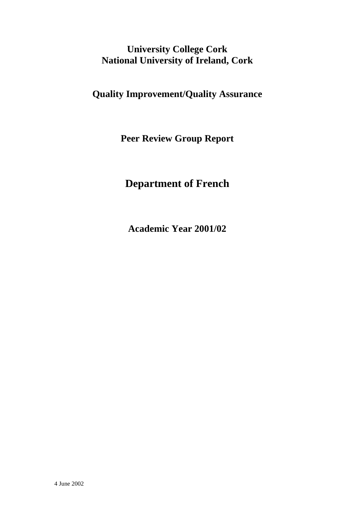# **University College Cork National University of Ireland, Cork**

**Quality Improvement/Quality Assurance** 

**Peer Review Group Report** 

# **Department of French**

**Academic Year 2001/02**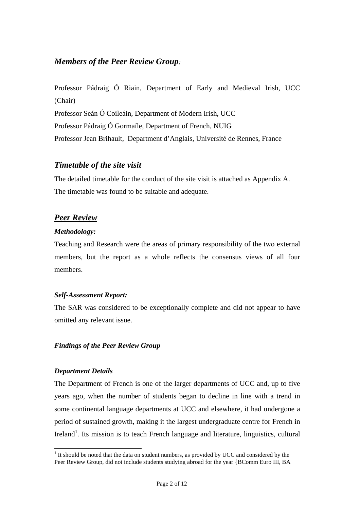## *Members of the Peer Review Group:*

Professor Pádraig Ó Riain, Department of Early and Medieval Irish, UCC (Chair) Professor Seán Ó Coileáin, Department of Modern Irish, UCC Professor Pádraig Ó Gormaíle, Department of French, NUIG Professor Jean Brihault, Department d'Anglais, Université de Rennes, France

### *Timetable of the site visit*

The detailed timetable for the conduct of the site visit is attached as Appendix A. The timetable was found to be suitable and adequate.

# *Peer Review*

### *Methodology:*

Teaching and Research were the areas of primary responsibility of the two external members, but the report as a whole reflects the consensus views of all four members.

### *Self-Assessment Report:*

The SAR was considered to be exceptionally complete and did not appear to have omitted any relevant issue.

### *Findings of the Peer Review Group*

#### *Department Details*

l

The Department of French is one of the larger departments of UCC and, up to five years ago, when the number of students began to decline in line with a trend in some continental language departments at UCC and elsewhere, it had undergone a period of sustained growth, making it the largest undergraduate centre for French in Ireland<sup>1</sup>. Its mission is to teach French language and literature, linguistics, cultural

 $<sup>1</sup>$  It should be noted that the data on student numbers, as provided by UCC and considered by the</sup> Peer Review Group, did not include students studying abroad for the year {BComm Euro III, BA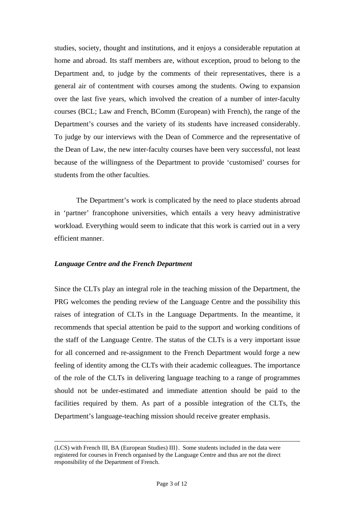studies, society, thought and institutions, and it enjoys a considerable reputation at home and abroad. Its staff members are, without exception, proud to belong to the Department and, to judge by the comments of their representatives, there is a general air of contentment with courses among the students. Owing to expansion over the last five years, which involved the creation of a number of inter-faculty courses (BCL; Law and French, BComm (European) with French), the range of the Department's courses and the variety of its students have increased considerably. To judge by our interviews with the Dean of Commerce and the representative of the Dean of Law, the new inter-faculty courses have been very successful, not least because of the willingness of the Department to provide 'customised' courses for students from the other faculties.

 The Department's work is complicated by the need to place students abroad in 'partner' francophone universities, which entails a very heavy administrative workload. Everything would seem to indicate that this work is carried out in a very efficient manner.

#### *Language Centre and the French Department*

l

Since the CLTs play an integral role in the teaching mission of the Department, the PRG welcomes the pending review of the Language Centre and the possibility this raises of integration of CLTs in the Language Departments. In the meantime, it recommends that special attention be paid to the support and working conditions of the staff of the Language Centre. The status of the CLTs is a very important issue for all concerned and re-assignment to the French Department would forge a new feeling of identity among the CLTs with their academic colleagues. The importance of the role of the CLTs in delivering language teaching to a range of programmes should not be under-estimated and immediate attention should be paid to the facilities required by them. As part of a possible integration of the CLTs, the Department's language-teaching mission should receive greater emphasis.

<sup>(</sup>LCS) with French III, BA (European Studies) III}. Some students included in the data were registered for courses in French organised by the Language Centre and thus are not the direct responsibility of the Department of French.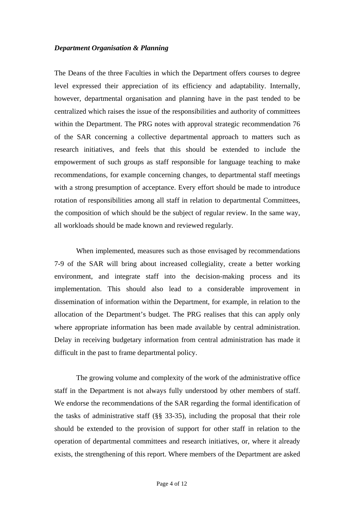#### *Department Organisation & Planning*

The Deans of the three Faculties in which the Department offers courses to degree level expressed their appreciation of its efficiency and adaptability. Internally, however, departmental organisation and planning have in the past tended to be centralized which raises the issue of the responsibilities and authority of committees within the Department. The PRG notes with approval strategic recommendation 76 of the SAR concerning a collective departmental approach to matters such as research initiatives, and feels that this should be extended to include the empowerment of such groups as staff responsible for language teaching to make recommendations, for example concerning changes, to departmental staff meetings with a strong presumption of acceptance. Every effort should be made to introduce rotation of responsibilities among all staff in relation to departmental Committees, the composition of which should be the subject of regular review. In the same way, all workloads should be made known and reviewed regularly*.* 

When implemented, measures such as those envisaged by recommendations 7-9 of the SAR will bring about increased collegiality, create a better working environment, and integrate staff into the decision-making process and its implementation. This should also lead to a considerable improvement in dissemination of information within the Department, for example, in relation to the allocation of the Department's budget. The PRG realises that this can apply only where appropriate information has been made available by central administration. Delay in receiving budgetary information from central administration has made it difficult in the past to frame departmental policy.

 The growing volume and complexity of the work of the administrative office staff in the Department is not always fully understood by other members of staff. We endorse the recommendations of the SAR regarding the formal identification of the tasks of administrative staff (§§ 33-35), including the proposal that their role should be extended to the provision of support for other staff in relation to the operation of departmental committees and research initiatives, or, where it already exists, the strengthening of this report. Where members of the Department are asked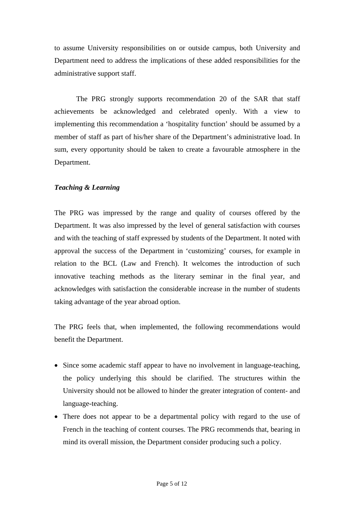to assume University responsibilities on or outside campus, both University and Department need to address the implications of these added responsibilities for the administrative support staff.

 The PRG strongly supports recommendation 20 of the SAR that staff achievements be acknowledged and celebrated openly. With a view to implementing this recommendation a 'hospitality function' should be assumed by a member of staff as part of his/her share of the Department's administrative load. In sum, every opportunity should be taken to create a favourable atmosphere in the Department.

#### *Teaching & Learning*

The PRG was impressed by the range and quality of courses offered by the Department. It was also impressed by the level of general satisfaction with courses and with the teaching of staff expressed by students of the Department. It noted with approval the success of the Department in 'customizing' courses, for example in relation to the BCL (Law and French). It welcomes the introduction of such innovative teaching methods as the literary seminar in the final year, and acknowledges with satisfaction the considerable increase in the number of students taking advantage of the year abroad option.

The PRG feels that, when implemented, the following recommendations would benefit the Department.

- Since some academic staff appear to have no involvement in language-teaching, the policy underlying this should be clarified. The structures within the University should not be allowed to hinder the greater integration of content- and language-teaching.
- There does not appear to be a departmental policy with regard to the use of French in the teaching of content courses. The PRG recommends that, bearing in mind its overall mission, the Department consider producing such a policy.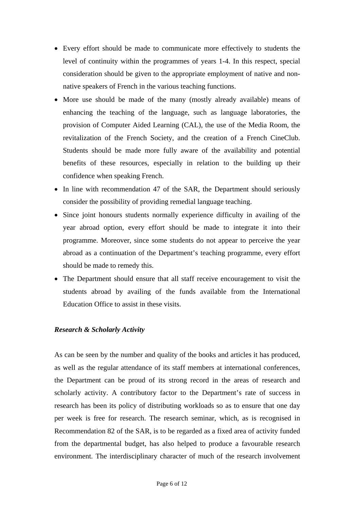- Every effort should be made to communicate more effectively to students the level of continuity within the programmes of years 1-4. In this respect, special consideration should be given to the appropriate employment of native and nonnative speakers of French in the various teaching functions.
- More use should be made of the many (mostly already available) means of enhancing the teaching of the language, such as language laboratories, the provision of Computer Aided Learning (CAL), the use of the Media Room, the revitalization of the French Society, and the creation of a French CineClub. Students should be made more fully aware of the availability and potential benefits of these resources, especially in relation to the building up their confidence when speaking French.
- In line with recommendation 47 of the SAR, the Department should seriously consider the possibility of providing remedial language teaching.
- Since joint honours students normally experience difficulty in availing of the year abroad option, every effort should be made to integrate it into their programme. Moreover, since some students do not appear to perceive the year abroad as a continuation of the Department's teaching programme, every effort should be made to remedy this.
- The Department should ensure that all staff receive encouragement to visit the students abroad by availing of the funds available from the International Education Office to assist in these visits.

#### *Research & Scholarly Activity*

As can be seen by the number and quality of the books and articles it has produced, as well as the regular attendance of its staff members at international conferences, the Department can be proud of its strong record in the areas of research and scholarly activity. A contributory factor to the Department's rate of success in research has been its policy of distributing workloads so as to ensure that one day per week is free for research. The research seminar, which, as is recognised in Recommendation 82 of the SAR, is to be regarded as a fixed area of activity funded from the departmental budget, has also helped to produce a favourable research environment. The interdisciplinary character of much of the research involvement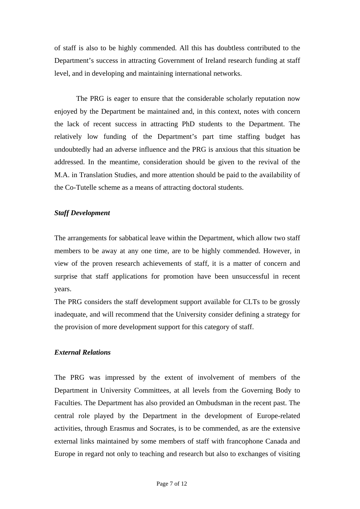of staff is also to be highly commended. All this has doubtless contributed to the Department's success in attracting Government of Ireland research funding at staff level, and in developing and maintaining international networks.

 The PRG is eager to ensure that the considerable scholarly reputation now enjoyed by the Department be maintained and, in this context, notes with concern the lack of recent success in attracting PhD students to the Department. The relatively low funding of the Department's part time staffing budget has undoubtedly had an adverse influence and the PRG is anxious that this situation be addressed. In the meantime, consideration should be given to the revival of the M.A. in Translation Studies, and more attention should be paid to the availability of the Co-Tutelle scheme as a means of attracting doctoral students.

#### *Staff Development*

The arrangements for sabbatical leave within the Department, which allow two staff members to be away at any one time, are to be highly commended. However, in view of the proven research achievements of staff, it is a matter of concern and surprise that staff applications for promotion have been unsuccessful in recent years.

The PRG considers the staff development support available for CLTs to be grossly inadequate, and will recommend that the University consider defining a strategy for the provision of more development support for this category of staff.

#### *External Relations*

The PRG was impressed by the extent of involvement of members of the Department in University Committees, at all levels from the Governing Body to Faculties. The Department has also provided an Ombudsman in the recent past. The central role played by the Department in the development of Europe-related activities, through Erasmus and Socrates, is to be commended, as are the extensive external links maintained by some members of staff with francophone Canada and Europe in regard not only to teaching and research but also to exchanges of visiting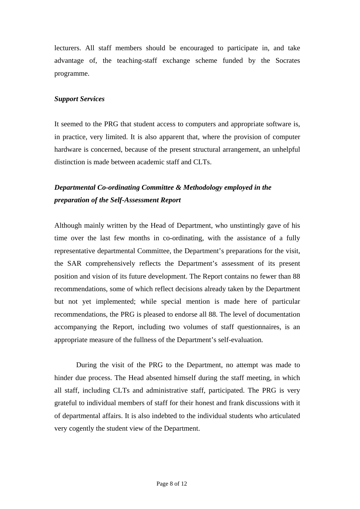lecturers. All staff members should be encouraged to participate in, and take advantage of, the teaching-staff exchange scheme funded by the Socrates programme.

#### *Support Services*

It seemed to the PRG that student access to computers and appropriate software is, in practice, very limited. It is also apparent that, where the provision of computer hardware is concerned, because of the present structural arrangement, an unhelpful distinction is made between academic staff and CLTs.

# *Departmental Co-ordinating Committee & Methodology employed in the preparation of the Self-Assessment Report*

Although mainly written by the Head of Department, who unstintingly gave of his time over the last few months in co-ordinating, with the assistance of a fully representative departmental Committee, the Department's preparations for the visit, the SAR comprehensively reflects the Department's assessment of its present position and vision of its future development. The Report contains no fewer than 88 recommendations, some of which reflect decisions already taken by the Department but not yet implemented; while special mention is made here of particular recommendations, the PRG is pleased to endorse all 88. The level of documentation accompanying the Report, including two volumes of staff questionnaires, is an appropriate measure of the fullness of the Department's self-evaluation*.* 

 During the visit of the PRG to the Department, no attempt was made to hinder due process. The Head absented himself during the staff meeting, in which all staff, including CLTs and administrative staff, participated. The PRG is very grateful to individual members of staff for their honest and frank discussions with it of departmental affairs. It is also indebted to the individual students who articulated very cogently the student view of the Department.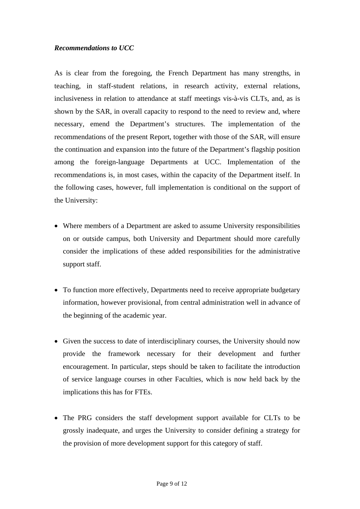### *Recommendations to UCC*

As is clear from the foregoing, the French Department has many strengths, in teaching, in staff-student relations, in research activity, external relations, inclusiveness in relation to attendance at staff meetings vis-à-vis CLTs, and, as is shown by the SAR, in overall capacity to respond to the need to review and, where necessary, emend the Department's structures. The implementation of the recommendations of the present Report, together with those of the SAR, will ensure the continuation and expansion into the future of the Department's flagship position among the foreign-language Departments at UCC. Implementation of the recommendations is, in most cases, within the capacity of the Department itself. In the following cases, however, full implementation is conditional on the support of the University:

- Where members of a Department are asked to assume University responsibilities on or outside campus, both University and Department should more carefully consider the implications of these added responsibilities for the administrative support staff.
- To function more effectively, Departments need to receive appropriate budgetary information, however provisional, from central administration well in advance of the beginning of the academic year.
- Given the success to date of interdisciplinary courses, the University should now provide the framework necessary for their development and further encouragement. In particular, steps should be taken to facilitate the introduction of service language courses in other Faculties, which is now held back by the implications this has for FTEs.
- The PRG considers the staff development support available for CLTs to be grossly inadequate, and urges the University to consider defining a strategy for the provision of more development support for this category of staff.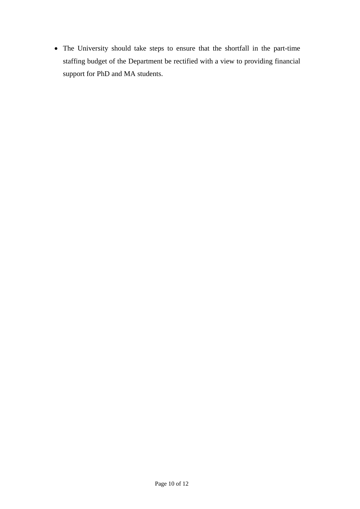• The University should take steps to ensure that the shortfall in the part-time staffing budget of the Department be rectified with a view to providing financial support for PhD and MA students.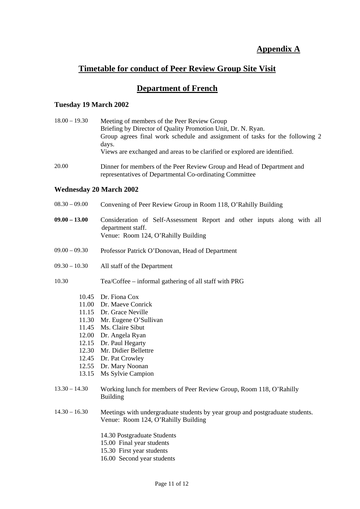# **Appendix A**

# **Timetable for conduct of Peer Review Group Site Visit**

### **Department of French**

#### **Tuesday 19 March 2002**

| $18.00 - 19.30$ | Meeting of members of the Peer Review Group                                  |
|-----------------|------------------------------------------------------------------------------|
|                 | Briefing by Director of Quality Promotion Unit, Dr. N. Ryan.                 |
|                 | Group agrees final work schedule and assignment of tasks for the following 2 |
|                 | days.                                                                        |
|                 | Views are exchanged and areas to be clarified or explored are identified.    |
| 20.00           | Dinner for members of the Peer Review Group and Head of Department and       |

representatives of Departmental Co-ordinating Committee

#### **Wednesday 20 March 2002**

- 08.30 09.00 Convening of Peer Review Group in Room 118, O'Rahilly Building
- **09.00 13.00** Consideration of Self-Assessment Report and other inputs along with all department staff. Venue: Room 124, O'Rahilly Building
- 09.00 09.30 Professor Patrick O'Donovan, Head of Department
- 09.30 10.30 All staff of the Department

10.30 Tea/Coffee – informal gathering of all staff with PRG

- 10.45 Dr. Fiona Cox
- 11.00 Dr. Maeve Conrick
- 11.15 Dr. Grace Neville
- 11.30 Mr. Eugene O'Sullivan
- 11.45 Ms. Claire Sibut
- 12.00 Dr. Angela Ryan
- 12.15 Dr. Paul Hegarty
- 12.30 Mr. Didier Bellettre
- 12.45 Dr. Pat Crowley
- 12.55 Dr. Mary Noonan
- 13.15 Ms Sylvie Campion
- 13.30 14.30 Working lunch for members of Peer Review Group, Room 118, O'Rahilly Building
- 14.30 16.30 Meetings with undergraduate students by year group and postgraduate students. Venue: Room 124, O'Rahilly Building
	- 14.30 Postgraduate Students
	- 15.00 Final year students
	- 15.30 First year students
	- 16.00 Second year students